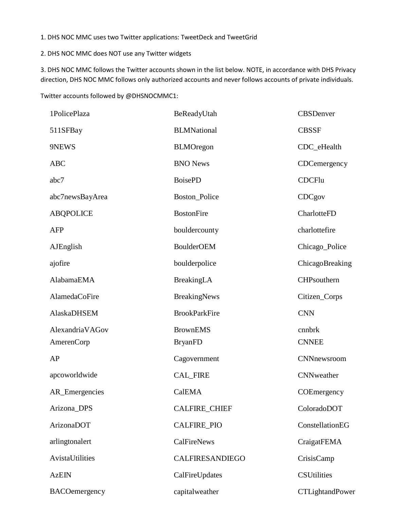1. DHS NOC MMC uses two Twitter applications: TweetDeck and TweetGrid

2. DHS NOC MMC does NOT use any Twitter widgets

3. DHS NOC MMC follows the Twitter accounts shown in the list below. NOTE, in accordance with DHS Privacy direction, DHS NOC MMC follows only authorized accounts and never follows accounts of private individuals.

Twitter accounts followed by @DHSNOCMMC1:

| 1PolicePlaza         | BeReadyUtah            | <b>CBSDenver</b>       |
|----------------------|------------------------|------------------------|
| 511SFBay             | <b>BLMNational</b>     | <b>CBSSF</b>           |
| 9NEWS                | <b>BLMOregon</b>       | CDC eHealth            |
| <b>ABC</b>           | <b>BNO</b> News        | CDCemergency           |
| abc7                 | <b>BoisePD</b>         | <b>CDCFlu</b>          |
| abc7newsBayArea      | Boston_Police          | CDCgov                 |
| <b>ABQPOLICE</b>     | <b>BostonFire</b>      | CharlotteFD            |
| <b>AFP</b>           | bouldercounty          | charlottefire          |
| AJEnglish            | <b>BoulderOEM</b>      | Chicago_Police         |
| ajofire              | boulderpolice          | ChicagoBreaking        |
| AlabamaEMA           | BreakingLA             | CHPsouthern            |
| AlamedaCoFire        | <b>BreakingNews</b>    | Citizen_Corps          |
| AlaskaDHSEM          | <b>BrookParkFire</b>   | <b>CNN</b>             |
| AlexandriaVAGov      | <b>BrownEMS</b>        | cnnbrk                 |
| <b>AmerenCorp</b>    | <b>BryanFD</b>         | <b>CNNEE</b>           |
| AP                   | Cagovernment           | CNNnewsroom            |
| apcoworldwide        | <b>CAL_FIRE</b>        | CNNweather             |
| AR_Emergencies       | CalEMA                 | COEmergency            |
| Arizona_DPS          | <b>CALFIRE_CHIEF</b>   | ColoradoDOT            |
| ArizonaDOT           | <b>CALFIRE_PIO</b>     | ConstellationEG        |
| arlingtonalert       | <b>CalFireNews</b>     | CraigatFEMA            |
| AvistaUtilities      | <b>CALFIRESANDIEGO</b> | CrisisCamp             |
| <b>AzEIN</b>         | CalFireUpdates         | <b>CSUtilities</b>     |
| <b>BACOemergency</b> | capitalweather         | <b>CTLightandPower</b> |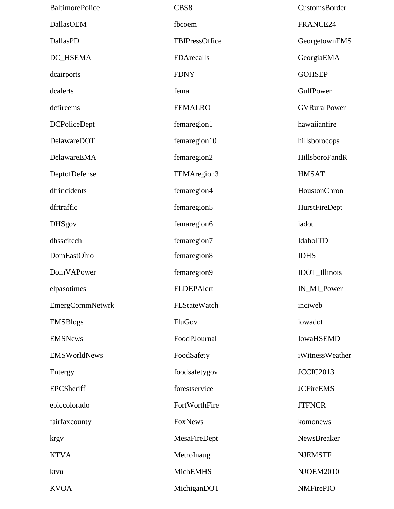| <b>BaltimorePolice</b> | CBS8           | CustomsBorder        |
|------------------------|----------------|----------------------|
| DallasOEM              | fbcoem         | FRANCE24             |
| DallasPD               | FBIPressOffice | GeorgetownEMS        |
| DC_HSEMA               | FDArecalls     | GeorgiaEMA           |
| dcairports             | <b>FDNY</b>    | <b>GOHSEP</b>        |
| dcalerts               | fema           | GulfPower            |
| dcfireems              | <b>FEMALRO</b> | <b>GVRuralPower</b>  |
| <b>DCPoliceDept</b>    | femaregion1    | hawaiianfire         |
| DelawareDOT            | femaregion10   | hillsborocops        |
| DelawareEMA            | femaregion2    | HillsboroFandR       |
| DeptofDefense          | FEMAregion3    | <b>HMSAT</b>         |
| dfrincidents           | femaregion4    | HoustonChron         |
| dfrtraffic             | femaregion5    | HurstFireDept        |
| <b>DHSgov</b>          | femaregion6    | iadot                |
| dhsscitech             | femaregion7    | IdahoITD             |
| DomEastOhio            | femaregion8    | <b>IDHS</b>          |
| DomVAPower             | femaregion9    | <b>IDOT_Illinois</b> |
| elpasotimes            | FLDEPAlert     | IN_MI_Power          |
| EmergCommNetwrk        | FLStateWatch   | inciweb              |
| <b>EMSBlogs</b>        | FluGov         | iowadot              |
| <b>EMSNews</b>         | FoodPJournal   | <b>IowaHSEMD</b>     |
| EMSWorldNews           | FoodSafety     | iWitnessWeather      |
| Entergy                | foodsafetygov  | JCCIC2013            |
| <b>EPCSheriff</b>      | forestservice  | <b>JCFireEMS</b>     |
| epiccolorado           | FortWorthFire  | <b>JTFNCR</b>        |
| fairfaxcounty          | FoxNews        | komonews             |
| krgy                   | MesaFireDept   | NewsBreaker          |
| <b>KTVA</b>            | MetroInaug     | <b>NJEMSTF</b>       |
| ktvu                   | MichEMHS       | <b>NJOEM2010</b>     |
| <b>KVOA</b>            | MichiganDOT    | <b>NMFirePIO</b>     |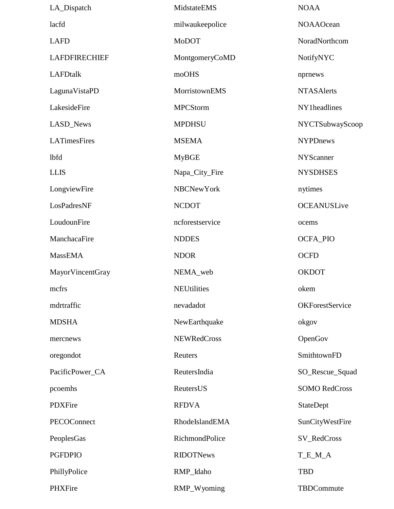| LA_Dispatch          | MidstateEMS        | <b>NOAA</b>            |
|----------------------|--------------------|------------------------|
| lacfd                | milwaukeepolice    | <b>NOAAOcean</b>       |
| <b>LAFD</b>          | <b>MoDOT</b>       | NoradNorthcom          |
| <b>LAFDFIRECHIEF</b> | MontgomeryCoMD     | NotifyNYC              |
| <b>LAFDtalk</b>      | moOHS              | nprnews                |
| LagunaVistaPD        | MorristownEMS      | <b>NTASAlerts</b>      |
| LakesideFire         | <b>MPCStorm</b>    | NY1headlines           |
| LASD_News            | <b>MPDHSU</b>      | NYCTSubwayScoop        |
| <b>LATimesFires</b>  | <b>MSEMA</b>       | <b>NYPDnews</b>        |
| <b>lbfd</b>          | <b>MyBGE</b>       | <b>NYScanner</b>       |
| <b>LLIS</b>          | Napa_City_Fire     | <b>NYSDHSES</b>        |
| LongviewFire         | <b>NBCNewYork</b>  | nytimes                |
| LosPadresNF          | <b>NCDOT</b>       | <b>OCEANUSLive</b>     |
| LoudounFire          | ncforestservice    | ocems                  |
| ManchacaFire         | <b>NDDES</b>       | OCFA_PIO               |
| <b>MassEMA</b>       | <b>NDOR</b>        | <b>OCFD</b>            |
| MayorVincentGray     | NEMA_web           | <b>OKDOT</b>           |
| mcfrs                | <b>NEUtilities</b> | okem                   |
| mdrtraffic           | nevadadot          | <b>OKForestService</b> |
| <b>MDSHA</b>         | NewEarthquake      | okgov                  |
| mercnews             | <b>NEWRedCross</b> | OpenGov                |
| oregondot            | Reuters            | SmithtownFD            |
| PacificPower_CA      | ReutersIndia       | SO_Rescue_Squad        |
| pcoemhs              | ReutersUS          | <b>SOMO RedCross</b>   |
| PDXFire              | <b>RFDVA</b>       | StateDept              |
| PECOConnect          | RhodeIslandEMA     | SunCityWestFire        |
| PeoplesGas           | RichmondPolice     | SV_RedCross            |
| <b>PGFDPIO</b>       | <b>RIDOTNews</b>   | T_E_M_A                |
| PhillyPolice         | RMP_Idaho          | <b>TBD</b>             |
| PHXFire              | RMP_Wyoming        | TBDCommute             |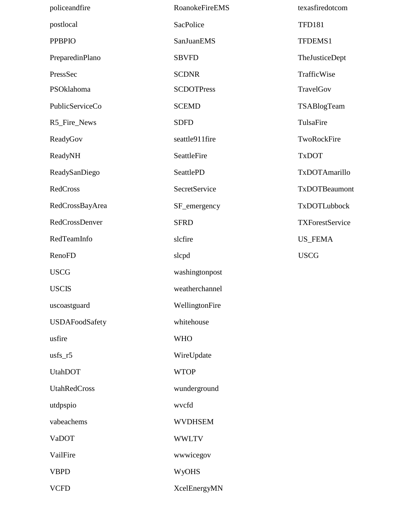| policeandfire         | RoanokeFireEMS       | texasfiredotcom        |
|-----------------------|----------------------|------------------------|
| postlocal             | SacPolice            | <b>TFD181</b>          |
| <b>PPBPIO</b>         | SanJuanEMS           | TFDEMS1                |
| PreparedinPlano       | <b>SBVFD</b>         | TheJusticeDept         |
| PressSec              | <b>SCDNR</b>         | TrafficWise            |
| PSOklahoma            | <b>SCDOTPress</b>    | TravelGov              |
| PublicServiceCo       | <b>SCEMD</b>         | TSABlogTeam            |
| R5_Fire_News          | <b>SDFD</b>          | TulsaFire              |
| ReadyGov              | seattle911fire       | TwoRockFire            |
| ReadyNH               | SeattleFire          | <b>TxDOT</b>           |
| ReadySanDiego         | <b>SeattlePD</b>     | TxDOTAmarillo          |
| RedCross              | <b>SecretService</b> | TxDOTBeaumont          |
| RedCrossBayArea       | SF_emergency         | TxDOTLubbock           |
| RedCrossDenver        | <b>SFRD</b>          | <b>TXForestService</b> |
| RedTeamInfo           | slcfire              | <b>US_FEMA</b>         |
| <b>RenoFD</b>         | slcpd                | <b>USCG</b>            |
| <b>USCG</b>           | washingtonpost       |                        |
| <b>USCIS</b>          | weatherchannel       |                        |
| uscoastguard          | WellingtonFire       |                        |
| <b>USDAFoodSafety</b> | whitehouse           |                        |
| usfire                | <b>WHO</b>           |                        |
| $usfs_r5$             | WireUpdate           |                        |
| <b>UtahDOT</b>        | <b>WTOP</b>          |                        |
| UtahRedCross          | wunderground         |                        |
| utdpspio              | wvcfd                |                        |
| vabeachems            | <b>WVDHSEM</b>       |                        |
| VaDOT                 | <b>WWLTV</b>         |                        |
| VailFire              | wwwicegov            |                        |
| <b>VBPD</b>           | <b>WyOHS</b>         |                        |
| <b>VCFD</b>           | XcelEnergyMN         |                        |
|                       |                      |                        |